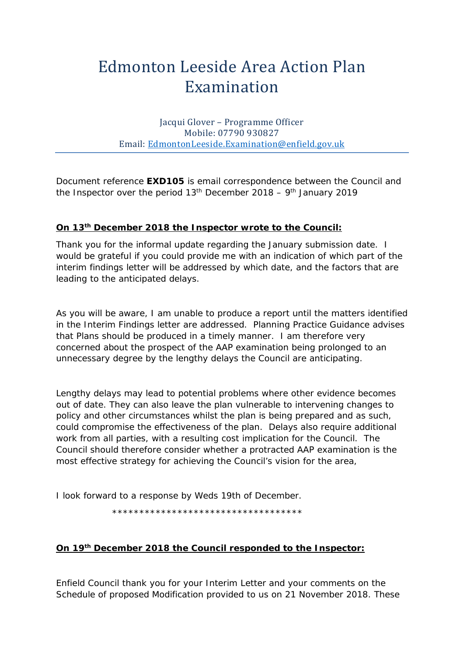# Edmonton Leeside Area Action Plan Examination

Jacqui Glover – Programme Officer Mobile: 07790 930827 Email: [EdmontonLeeside.Examination@enfield.gov.uk](mailto:EdmontonLeeside.Examination@enfield.gov.uk)

Document reference **EXD105** is email correspondence between the Council and the Inspector over the period  $13<sup>th</sup>$  December 2018 – 9<sup>th</sup> January 2019

## **On 13th December 2018 the Inspector wrote to the Council:**

Thank you for the informal update regarding the January submission date. I would be grateful if you could provide me with an indication of which part of the interim findings letter will be addressed by which date, and the factors that are leading to the anticipated delays.

As you will be aware, I am unable to produce a report until the matters identified in the Interim Findings letter are addressed. Planning Practice Guidance advises that Plans should be produced in a timely manner. I am therefore very concerned about the prospect of the AAP examination being prolonged to an unnecessary degree by the lengthy delays the Council are anticipating.

Lengthy delays may lead to potential problems where other evidence becomes out of date. They can also leave the plan vulnerable to intervening changes to policy and other circumstances whilst the plan is being prepared and as such, could compromise the effectiveness of the plan. Delays also require additional work from all parties, with a resulting cost implication for the Council. The Council should therefore consider whether a protracted AAP examination is the most effective strategy for achieving the Council's vision for the area,

I look forward to a response by Weds 19th of December.

\*\*\*\*\*\*\*\*\*\*\*\*\*\*\*\*\*\*\*\*\*\*\*\*\*\*\*\*\*\*\*\*\*\*\*

#### **On 19th December 2018 the Council responded to the Inspector:**

Enfield Council thank you for your Interim Letter and your comments on the Schedule of proposed Modification provided to us on 21 November 2018. These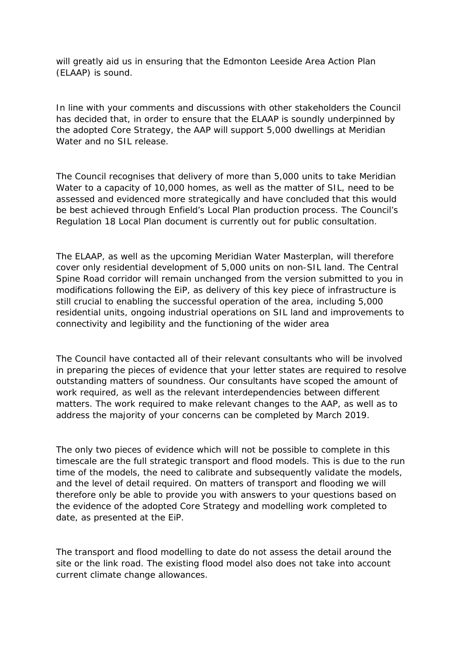will greatly aid us in ensuring that the Edmonton Leeside Area Action Plan (ELAAP) is sound.

In line with your comments and discussions with other stakeholders the Council has decided that, in order to ensure that the ELAAP is soundly underpinned by the adopted Core Strategy, the AAP will support 5,000 dwellings at Meridian Water and no SIL release.

The Council recognises that delivery of more than 5,000 units to take Meridian Water to a capacity of 10,000 homes, as well as the matter of SIL, need to be assessed and evidenced more strategically and have concluded that this would be best achieved through Enfield's Local Plan production process. The Council's Regulation 18 Local Plan document is currently out for public consultation.

The ELAAP, as well as the upcoming Meridian Water Masterplan, will therefore cover only residential development of 5,000 units on non-SIL land. The Central Spine Road corridor will remain unchanged from the version submitted to you in modifications following the EiP, as delivery of this key piece of infrastructure is still crucial to enabling the successful operation of the area, including 5,000 residential units, ongoing industrial operations on SIL land and improvements to connectivity and legibility and the functioning of the wider area

The Council have contacted all of their relevant consultants who will be involved in preparing the pieces of evidence that your letter states are required to resolve outstanding matters of soundness. Our consultants have scoped the amount of work required, as well as the relevant interdependencies between different matters. The work required to make relevant changes to the AAP, as well as to address the majority of your concerns can be completed by March 2019.

The only two pieces of evidence which will not be possible to complete in this timescale are the full strategic transport and flood models. This is due to the run time of the models, the need to calibrate and subsequently validate the models, and the level of detail required. On matters of transport and flooding we will therefore only be able to provide you with answers to your questions based on the evidence of the adopted Core Strategy and modelling work completed to date, as presented at the EiP.

The transport and flood modelling to date do not assess the detail around the site or the link road. The existing flood model also does not take into account current climate change allowances.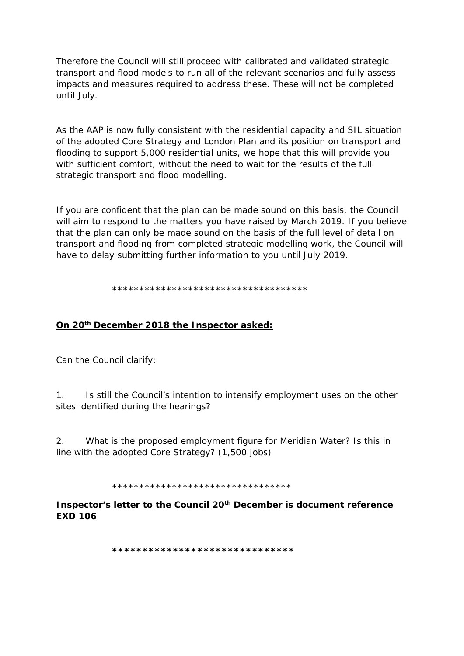Therefore the Council will still proceed with calibrated and validated strategic transport and flood models to run all of the relevant scenarios and fully assess impacts and measures required to address these. These will not be completed until July.

As the AAP is now fully consistent with the residential capacity and SIL situation of the adopted Core Strategy and London Plan and its position on transport and flooding to support 5,000 residential units, we hope that this will provide you with sufficient comfort, without the need to wait for the results of the full strategic transport and flood modelling.

If you are confident that the plan can be made sound on this basis, the Council will aim to respond to the matters you have raised by March 2019. If you believe that the plan can only be made sound on the basis of the full level of detail on transport and flooding from completed strategic modelling work, the Council will have to delay submitting further information to you until July 2019.

\*\*\*\*\*\*\*\*\*\*\*\*\*\*\*\*\*\*\*\*\*\*\*\*\*\*\*\*\*\*\*\*\*\*\*\*

#### On 20<sup>th</sup> December 2018 the Inspector asked:

Can the Council clarify:

Is still the Council's intention to intensify employment uses on the other  $1<sup>1</sup>$ sites identified during the hearings?

 $2<sub>1</sub>$ What is the proposed employment figure for Meridian Water? Is this in line with the adopted Core Strategy? (1,500 jobs)

\*\*\*\*\*\*\*\*\*\*\*\*\*\*\*\*\*\*\*\*\*\*\*\*\*\*\*\*\*\*\*\*\*

Inspector's letter to the Council 20<sup>th</sup> December is document reference **EXD 106** 

\*\*\*\*\*\*\*\*\*\*\*\*\*\*\*\*\*\*\*\*\*\*\*\*\*\*\*\*\*\*